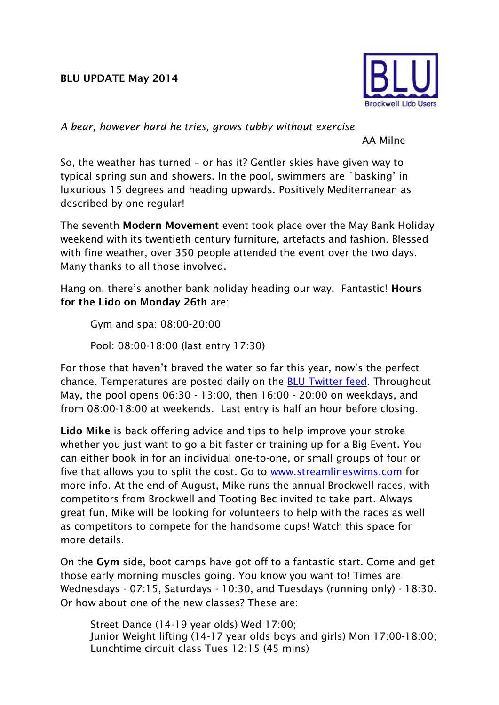## **BLU UPDATE May 2014**



*A bear, however hard he tries, grows tubby without exercise*

AA Milne

So, the weather has turned – or has it? Gentler skies have given way to typical spring sun and showers. In the pool, swimmers are `basking' in luxurious 15 degrees and heading upwards. Positively Mediterranean as described by one regular!

The seventh **Modern Movement** event took place over the May Bank Holiday weekend with its twentieth century furniture, artefacts and fashion. Blessed with fine weather, over 350 people attended the event over the two days. Many thanks to all those involved.

Hang on, there's another bank holiday heading our way. Fantastic! **Hours for the Lido on Monday 26th** are:

Gym and spa: 08:00-20:00

Pool: 08:00-18:00 (last entry 17:30)

For those that haven't braved the water so far this year, now's the perfect chance. Temperatures are posted daily on the [BLU Twitter feed.](https://twitter.com/BrockwellLido) Throughout May, the pool opens 06:30 - 13:00, then 16:00 - 20:00 on weekdays, and from 08:00-18:00 at weekends. Last entry is half an hour before closing.

**Lido Mike** is back offering advice and tips to help improve your stroke whether you just want to go a bit faster or training up for a Big Event. You can either book in for an individual one-to-one, or small groups of four or five that allows you to split the cost. Go to [www.streamlineswims.com](http://www.streamlineswims.com/) for more info. At the end of August, Mike runs the annual Brockwell races, with competitors from Brockwell and Tooting Bec invited to take part. Always great fun, Mike will be looking for volunteers to help with the races as well as competitors to compete for the handsome cups! Watch this space for more details.

On the **Gym** side, boot camps have got off to a fantastic start. Come and get those early morning muscles going. You know you want to! Times are Wednesdays - 07:15, Saturdays - 10:30, and Tuesdays (running only) - 18:30. Or how about one of the new classes? These are:

Street Dance (14-19 year olds) Wed 17:00; Junior Weight lifting (14-17 year olds boys and girls) Mon 17:00-18:00; Lunchtime circuit class Tues 12:15 (45 mins)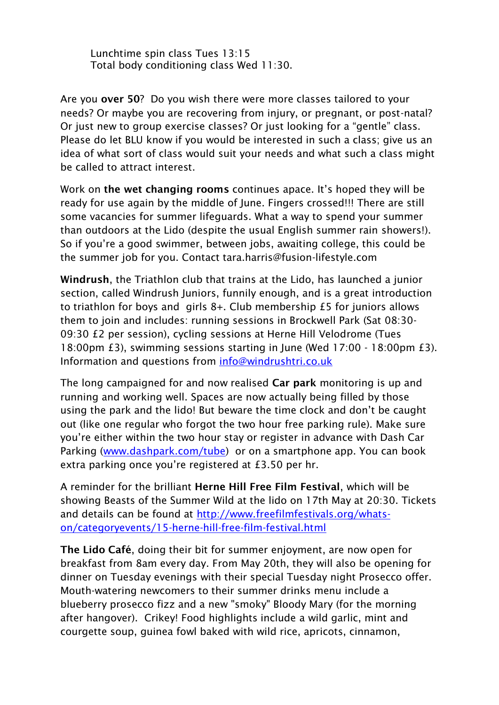Lunchtime spin class Tues 13:15 Total body conditioning class Wed 11:30.

Are you **over 50**? Do you wish there were more classes tailored to your needs? Or maybe you are recovering from injury, or pregnant, or post-natal? Or just new to group exercise classes? Or just looking for a "gentle" class. Please do let BLU know if you would be interested in such a class; give us an idea of what sort of class would suit your needs and what such a class might be called to attract interest.

Work on **the wet changing rooms** continues apace. It's hoped they will be ready for use again by the middle of June. Fingers crossed!!! There are still some vacancies for summer lifeguards. What a way to spend your summer than outdoors at the Lido (despite the usual English summer rain showers!). So if you're a good swimmer, between jobs, awaiting college, this could be the summer job for you. Contact tara.harris@fusion-lifestyle.com

**Windrush**, the Triathlon club that trains at the Lido, has launched a junior section, called Windrush Juniors, funnily enough, and is a great introduction to triathlon for boys and girls 8+. Club membership £5 for juniors allows them to join and includes: running sessions in Brockwell Park (Sat 08:30- 09:30 £2 per session), cycling sessions at Herne Hill Velodrome (Tues 18:00pm £3), swimming sessions starting in June (Wed 17:00 - 18:00pm £3). Information and questions from [info@windrushtri.co.uk](mailto:info@windrushtri.co.uk)

The long campaigned for and now realised **Car park** monitoring is up and running and working well. Spaces are now actually being filled by those using the park and the lido! But beware the time clock and don't be caught out (like one regular who forgot the two hour free parking rule). Make sure you're either within the two hour stay or register in advance with Dash Car Parking [\(www.dashpark.com/tube\)](http://www.dashpark.com/tube) or on a smartphone app. You can book extra parking once you're registered at £3.50 per hr.

A reminder for the brilliant **Herne Hill Free Film Festival**, which will be showing Beasts of the Summer Wild at the lido on 17th May at 20:30. Tickets and details can be found at [http://www.freefilmfestivals.org/whats](http://www.freefilmfestivals.org/whats-on/categoryevents/15-herne-hill-free-film-festival.html)[on/categoryevents/15-herne-hill-free-film-festival.html](http://www.freefilmfestivals.org/whats-on/categoryevents/15-herne-hill-free-film-festival.html)

**The Lido Café**, doing their bit for summer enjoyment, are now open for breakfast from 8am every day. From May 20th, they will also be opening for dinner on Tuesday evenings with their special Tuesday night Prosecco offer. Mouth-watering newcomers to their summer drinks menu include a blueberry prosecco fizz and a new "smoky" Bloody Mary (for the morning after hangover). Crikey! Food highlights include a wild garlic, mint and courgette soup, guinea fowl baked with wild rice, apricots, cinnamon,